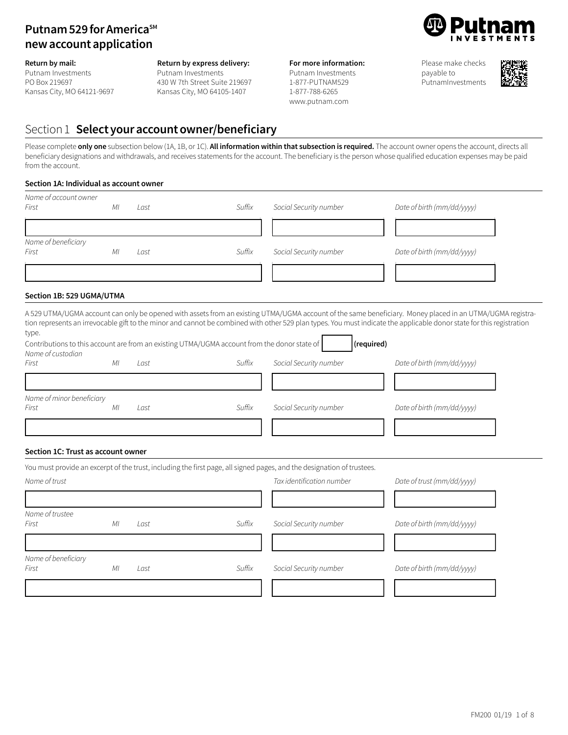# **Putnam 529 for America**SM **newaccountapplication**

**Return by mail:**

Putnam Investments PO Box 219697 Kansas City, MO 64121-9697

### **Return by express delivery:**

Putnam Investments 430 W 7th Street Suite 219697 Kansas City, MO 64105-1407

### **For more information:**

Putnam Investments 1-877-PUTNAM529 1-877-788-6265 www.putnam.com

Please make checks payable to PutnamInvestments



### Section 1 **Select youraccountowner/beneficiary**

Please complete **only one** subsection below (1A, 1B, or 1C). **All information within that subsection is required.** The account owner opens the account, directs all beneficiary designations and withdrawals, and receives statements for the account. The beneficiary is the person whose qualified education expenses may be paid from the account.

### **Section 1A: Individual as account owner**

| Name of account owner<br>First     | ΜI | Last | Suffix                                                                                       | Social Security number                                                                                                 | Date of birth (mm/dd/yyyy)                                                                                                                                                                                                                                                                                                         |
|------------------------------------|----|------|----------------------------------------------------------------------------------------------|------------------------------------------------------------------------------------------------------------------------|------------------------------------------------------------------------------------------------------------------------------------------------------------------------------------------------------------------------------------------------------------------------------------------------------------------------------------|
|                                    |    |      |                                                                                              |                                                                                                                        |                                                                                                                                                                                                                                                                                                                                    |
| Name of beneficiary<br>First       | ΜI | Last | Suffix                                                                                       | Social Security number                                                                                                 | Date of birth (mm/dd/yyyy)                                                                                                                                                                                                                                                                                                         |
|                                    |    |      |                                                                                              |                                                                                                                        |                                                                                                                                                                                                                                                                                                                                    |
| Section 1B: 529 UGMA/UTMA          |    |      |                                                                                              |                                                                                                                        |                                                                                                                                                                                                                                                                                                                                    |
| type.                              |    |      | Contributions to this account are from an existing UTMA/UGMA account from the donor state of | (required)                                                                                                             | A 529 UTMA/UGMA account can only be opened with assets from an existing UTMA/UGMA account of the same beneficiary. Money placed in an UTMA/UGMA registra-<br>tion represents an irrevocable gift to the minor and cannot be combined with other 529 plan types. You must indicate the applicable donor state for this registration |
| Name of custodian                  |    |      |                                                                                              |                                                                                                                        |                                                                                                                                                                                                                                                                                                                                    |
| First                              | МI | Last | Suffix                                                                                       | Social Security number                                                                                                 | Date of birth (mm/dd/yyyy)                                                                                                                                                                                                                                                                                                         |
|                                    |    |      |                                                                                              |                                                                                                                        |                                                                                                                                                                                                                                                                                                                                    |
| Name of minor beneficiary<br>First | МI | Last | Suffix                                                                                       | Social Security number                                                                                                 | Date of birth (mm/dd/yyyy)                                                                                                                                                                                                                                                                                                         |
| Section 1C: Trust as account owner |    |      |                                                                                              |                                                                                                                        |                                                                                                                                                                                                                                                                                                                                    |
|                                    |    |      |                                                                                              | You must provide an excerpt of the trust, including the first page, all signed pages, and the designation of trustees. |                                                                                                                                                                                                                                                                                                                                    |
| Name of trust                      |    |      |                                                                                              | Tax identification number                                                                                              | Date of trust (mm/dd/yyyy)                                                                                                                                                                                                                                                                                                         |
| Name of trustee<br>First           | МI | Last | Suffix                                                                                       | Social Security number                                                                                                 | Date of birth (mm/dd/yyyy)                                                                                                                                                                                                                                                                                                         |
| Name of beneficiary<br>First       | ΜI | Last | Suffix                                                                                       | Social Security number                                                                                                 | Date of birth (mm/dd/yyyy)                                                                                                                                                                                                                                                                                                         |
|                                    |    |      |                                                                                              |                                                                                                                        |                                                                                                                                                                                                                                                                                                                                    |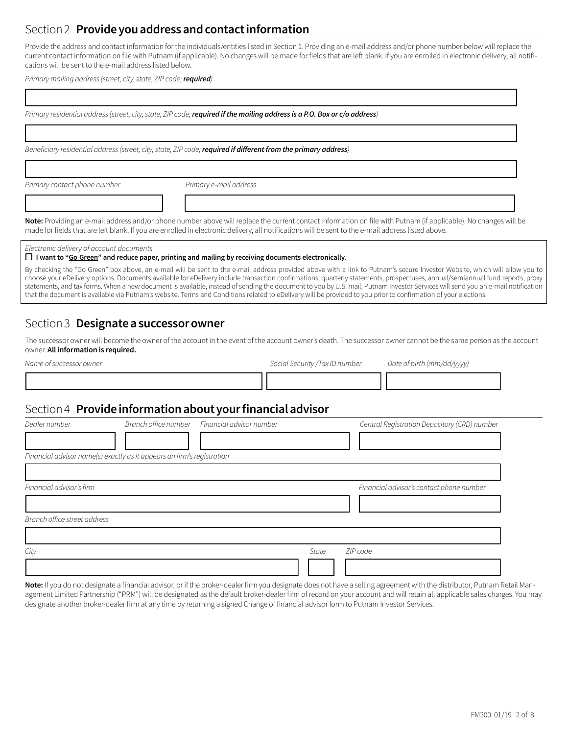# Section 2 **Provideyouaddressandcontactinformation**

Provide the address and contact information for the individuals/entities listed in Section 1. Providing an e-mail address and/or phone number below will replace the current contact information on file with Putnam (if applicable). No changes will be made for fields that are left blank. If you are enrolled in electronic delivery, all notifications will be sent to the e-mail address listed below.

*Primary mailing address* (*street, city, state, ZIP code; required*)

| Primary residential address (street, city, state, ZIP code; required if the mailing address is a P.O. Box or c/o address)                                                                                                                                                                                                                                                                                                                                                                                                                                                                                                                                                                                         |                                               |                                 |          |                                              |  |
|-------------------------------------------------------------------------------------------------------------------------------------------------------------------------------------------------------------------------------------------------------------------------------------------------------------------------------------------------------------------------------------------------------------------------------------------------------------------------------------------------------------------------------------------------------------------------------------------------------------------------------------------------------------------------------------------------------------------|-----------------------------------------------|---------------------------------|----------|----------------------------------------------|--|
| Beneficiary residential address (street, city, state, ZIP code; required if different from the primary address)                                                                                                                                                                                                                                                                                                                                                                                                                                                                                                                                                                                                   |                                               |                                 |          |                                              |  |
| Primary contact phone number                                                                                                                                                                                                                                                                                                                                                                                                                                                                                                                                                                                                                                                                                      | Primary e-mail address                        |                                 |          |                                              |  |
|                                                                                                                                                                                                                                                                                                                                                                                                                                                                                                                                                                                                                                                                                                                   |                                               |                                 |          |                                              |  |
| Note: Providing an e-mail address and/or phone number above will replace the current contact information on file with Putnam (if applicable). No changes will be<br>made for fields that are left blank. If you are enrolled in electronic delivery, all notifications will be sent to the e-mail address listed above.                                                                                                                                                                                                                                                                                                                                                                                           |                                               |                                 |          |                                              |  |
| Electronic delivery of account documents<br>$\Box$ I want to "Go Green" and reduce paper, printing and mailing by receiving documents electronically.                                                                                                                                                                                                                                                                                                                                                                                                                                                                                                                                                             |                                               |                                 |          |                                              |  |
| By checking the "Go Green" box above, an e-mail will be sent to the e-mail address provided above with a link to Putnam's secure Investor Website, which will allow you to<br>choose your eDelivery options. Documents available for eDelivery include transaction confirmations, quarterly statements, prospectuses, annual/semiannual fund reports, proxy<br>statements, and tax forms. When a new document is available, instead of sending the document to you by U.S. mail, Putnam Investor Services will send you an e-mail notification<br>that the document is available via Putnam's website. Terms and Conditions related to eDelivery will be provided to you prior to confirmation of your elections. |                                               |                                 |          |                                              |  |
| Section 3 Designate a successor owner                                                                                                                                                                                                                                                                                                                                                                                                                                                                                                                                                                                                                                                                             |                                               |                                 |          |                                              |  |
| The successor owner will become the owner of the account in the event of the account owner's death. The successor owner cannot be the same person as the account<br>owner. All information is required.                                                                                                                                                                                                                                                                                                                                                                                                                                                                                                           |                                               |                                 |          |                                              |  |
| Name of successor owner                                                                                                                                                                                                                                                                                                                                                                                                                                                                                                                                                                                                                                                                                           |                                               | Social Security / Tax ID number |          | Date of birth (mm/dd/yyyy)                   |  |
| Section 4 Provide information about your financial advisor                                                                                                                                                                                                                                                                                                                                                                                                                                                                                                                                                                                                                                                        |                                               |                                 |          |                                              |  |
| Dealer number                                                                                                                                                                                                                                                                                                                                                                                                                                                                                                                                                                                                                                                                                                     | Branch office number Financial advisor number |                                 |          | Central Registration Depository (CRD) number |  |
| Financial advisor name(s) exactly as it appears on firm's registration                                                                                                                                                                                                                                                                                                                                                                                                                                                                                                                                                                                                                                            |                                               |                                 |          |                                              |  |
| Financial advisor's firm                                                                                                                                                                                                                                                                                                                                                                                                                                                                                                                                                                                                                                                                                          |                                               |                                 |          | Financial advisor's contact phone number     |  |
| Branch office street address                                                                                                                                                                                                                                                                                                                                                                                                                                                                                                                                                                                                                                                                                      |                                               |                                 |          |                                              |  |
| City                                                                                                                                                                                                                                                                                                                                                                                                                                                                                                                                                                                                                                                                                                              |                                               | State                           | ZIP code |                                              |  |
|                                                                                                                                                                                                                                                                                                                                                                                                                                                                                                                                                                                                                                                                                                                   |                                               |                                 |          |                                              |  |

**Note:** If you do not designate a financial advisor, or if the broker-dealer firm you designate does not have a selling agreement with the distributor, Putnam Retail Management Limited Partnership ("PRM") will be designated as the default broker-dealer firm of record on your account and will retain all applicable sales charges. You may designate another broker-dealer firm at any time by returning a signed Change of financial advisor form to Putnam Investor Services.

٦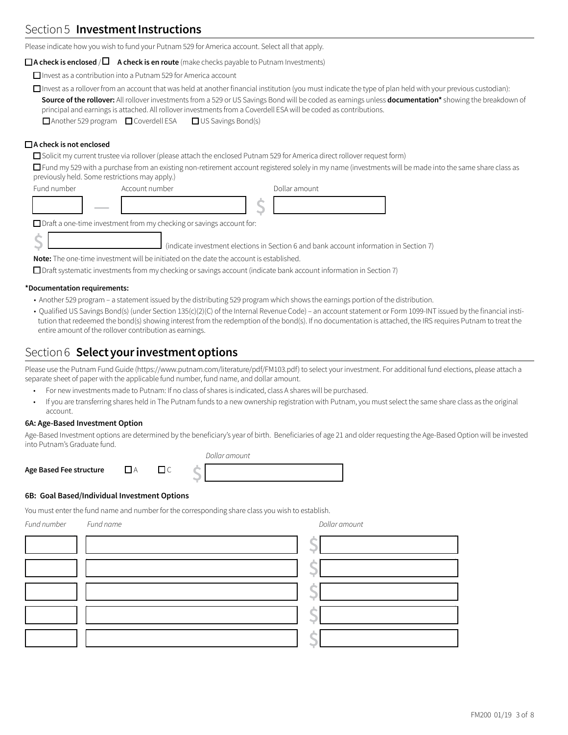### Section 5 **Investment Instructions**

Please indicate how you wish to fund your Putnam 529 for America account. Select all that apply.

#### $\Box$  **A** check is enclosed / $\Box$  A check is en route (make checks payable to Putnam Investments)

 $\Box$  Invest as a contribution into a Putnam 529 for America account

 $\Box$  Invest as a rollover from an account that was held at another financial institution (you must indicate the type of plan held with your previous custodian): **Source of the rollover:** All rollover investments from a 529 or US Savings Bond will be coded as earnings unless **documentation\*** showing the breakdown of principal and earnings is attached. All rollover investments from a Coverdell ESA will be coded as contributions.

 $\Box$  Another 529 program  $\Box$  Coverdell ESA  $\Box$  US Savings Bond(s)

### $□$  A check is not enclosed

 $\Box$  Solicit my current trustee via rollover (please attach the enclosed Putnam 529 for America direct rollover request form)

 $\Box$  Fund my 529 with a purchase from an existing non-retirement account registered solely in my name (investments will be made into the same share class as previously held. Some restrictions may apply.)

| Fund number | Account number | Dollar amount |
|-------------|----------------|---------------|
|             |                |               |

 $\Box$  Draft a one-time investment from my checking or savings account for:

**Note:** The one-time investment will be initiated on the date the account is established.

 $\Box$  Draft systematic investments from my checking or savings account (indicate bank account information in Section 7)

#### **\*Documentation requirements:**

• Another 529 program – a statement issued by the distributing 529 program which shows the earnings portion of the distribution.

 *Dollar amount*

• Qualified US Savings Bond(s) (under Section 135(c)(2)(C) of the Internal Revenue Code) – an account statement or Form 1099-INT issued by the financial institution that redeemed the bond(s) showing interest from the redemption of the bond(s). If no documentation is attached, the IRS requires Putnam to treat the entire amount of the rollover contribution as earnings.

### Section 6 **Selectyourinvestmentoptions**

Please use the Putnam Fund Guide (https://www.putnam.com/literature/pdf/FM103.pdf) to select your investment. For additional fund elections, please attach a separate sheet of paper with the applicable fund number, fund name, and dollar amount.

- For new investments made to Putnam: If no class of shares is indicated, class A shares will be purchased.
- If you are transferring shares held in The Putnam funds to a new ownership registration with Putnam, you must select the same share class as the original account.

#### **6A: Age-Based Investment Option**

Age-Based Investment options are determined by the beneficiary's year of birth. Beneficiaries of age 21 and older requesting the Age-Based Option will be invested into Putnam's Graduate fund.

|                         |  | <i>DOIIGH GHTOGHT</i> |
|-------------------------|--|-----------------------|
| Age Based Fee structure |  |                       |

#### **6B: Goal Based/Individual Investment Options**

You must enter the fund name and number for the corresponding share class you wish to establish.

| Fund number Fund name | Dollar amount |  |
|-----------------------|---------------|--|
|                       |               |  |
|                       |               |  |
|                       |               |  |
|                       |               |  |
|                       |               |  |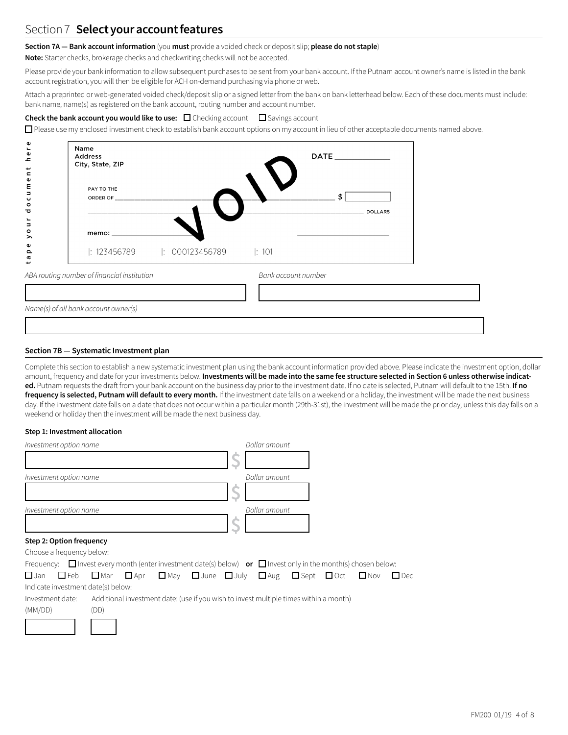### Section 7 Select your account features

#### **Section 7A — Bank account information** (you **must** provide a voided check or deposit slip; **please do not staple**)

**Note:** Starter checks, brokerage checks and checkwriting checks will not be accepted.

Please provide your bank information to allow subsequent purchases to be sent from your bank account. If the Putnam account owner's name is listed in the bank account registration, you will then be eligible for ACH on-demand purchasing via phone or web.

Attach a preprinted or web-generated voided check/deposit slip or a signed letter from the bank on bank letterhead below. Each of these documents must include: bank name, name(s) as registered on the bank account, routing number and account number.

#### **Check the bank account you would like to use:** □ Checking account □ Savings account

 $\Box$  Please use my enclosed investment check to establish bank account options on my account in lieu of other acceptable documents named above.

| ω<br>$\mathbf{r}$<br>Φ<br>$\mathbf{C}$<br>ب<br>$\blacksquare$ | Name<br>Address<br>City, State, ZIP         | DATE <b>All DESIGNATION</b> |
|---------------------------------------------------------------|---------------------------------------------|-----------------------------|
| $\pmb{\omega}$<br>E<br>J<br>$\mathbf \omega$<br>$\circ$<br>᠊ᠣ | PAY TO THE<br>ORDER OF _______________      | \$<br><b>DOLLARS</b>        |
| Ĕ<br>$\circ$<br>⋋                                             |                                             |                             |
| Φ<br>$\Omega$<br>G<br>پ                                       | $ : 123456789$ $ : 000123456789$ $ : 101$   |                             |
|                                                               | ABA routing number of financial institution | Bank account number         |
|                                                               |                                             |                             |
|                                                               | Name(s) of all bank account owner(s)        |                             |

#### **Section 7B — Systematic Investment plan**

Complete this section to establish a new systematic investment plan using the bank account information provided above. Please indicate the investment option, dollar amount, frequency and date for your investments below. Investments will be made into the same fee structure selected in Section 6 unless otherwise indicat**ed.** Putnam requests the draft from your bank account on the business day prior to the investment date. If no date is selected, Putnam will default to the 15th. **If no frequency is selected, Putnam will default to every month.** If the investment date falls on a weekend or a holiday, the investment will be made the next business day. If the investment date falls on a date that does not occur within a particular month (29th-31st), the investment will be made the prior day, unless this day falls on a weekend or holiday then the investment will be made the next business day.

#### **Step 1: Investment allocation**

| Investment option name | Dollar amount |
|------------------------|---------------|
|                        |               |
| Investment option name | Dollar amount |
|                        |               |
| Investment option name | Dollar amount |
|                        |               |

#### **Step 2: Option frequency**

| Choose a frequency below:                                                                                                              |      |  |                                                                                       |  |  |  |
|----------------------------------------------------------------------------------------------------------------------------------------|------|--|---------------------------------------------------------------------------------------|--|--|--|
| Frequency: $\Box$ Invest every month (enter investment date(s) below) <b>or</b> $\Box$ Invest only in the month(s) chosen below:       |      |  |                                                                                       |  |  |  |
| $\Box$ Jan $\Box$ Feb $\Box$ Mar $\Box$ Apr $\Box$ May $\Box$ June $\Box$ July $\Box$ Aug $\Box$ Sept $\Box$ Oct $\Box$ Nov $\Box$ Dec |      |  |                                                                                       |  |  |  |
| Indicate investment date(s) below:                                                                                                     |      |  |                                                                                       |  |  |  |
| Investment date:                                                                                                                       |      |  | Additional investment date: (use if you wish to invest multiple times within a month) |  |  |  |
| (MM/DD)                                                                                                                                | (DD) |  |                                                                                       |  |  |  |
|                                                                                                                                        |      |  |                                                                                       |  |  |  |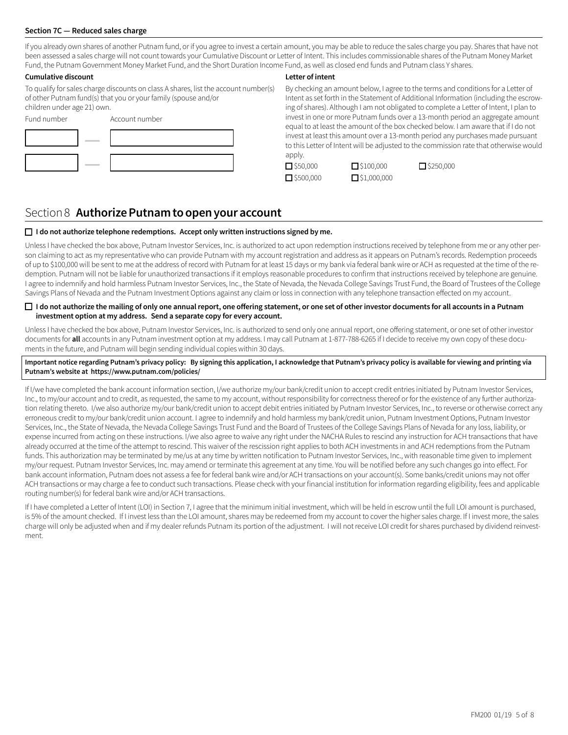#### **Section 7C — Reduced sales charge**

If you already own shares of another Putnam fund, or if you agree to invest a certain amount, you may be able to reduce the sales charge you pay. Shares that have not been assessed a sales charge will not count towards your Cumulative Discount or Letter of Intent. This includes commissionable shares of the Putnam Money Market Fund, the Putnam Government Money Market Fund, and the Short Duration Income Fund, as well as closed end funds and Putnam class Y shares.

#### **Cumulative discount**

To qualify for sales charge discounts on class A shares, list the account number(s) of other Putnam fund(s) that you or your family (spouse and/or children under age 21) own.

| Fund number | Account number |
|-------------|----------------|
|             |                |
|             |                |
|             |                |

#### **Letter of intent**

By checking an amount below, I agree to the terms and conditions for a Letter of Intent as set forth in the Statement of Additional Information (including the escrowing of shares). Although I am not obligated to complete a Letter of Intent, I plan to invest in one or more Putnam funds over a 13-month period an aggregate amount equal to at least the amount of the box checked below. I am aware that if I do not invest at least this amount over a 13-month period any purchases made pursuant to this Letter of Intent will be adjusted to the commission rate that otherwise would apply.

 $\square$ \$1,000,000

| $\Box$ \$50,000     |
|---------------------|
| $\square$ \$500,000 |

 $\square$  \$100,000  $\square$  \$250,000

### Section 8 **AuthorizePutnamtoopenyouraccount**

#### o **I do not authorize telephone redemptions. Accept only written instructions signed by me.**

Unless I have checked the box above, Putnam Investor Services, Inc. is authorized to act upon redemption instructions received by telephone from me or any other person claiming to act as my representative who can provide Putnam with my account registration and address as it appears on Putnam's records. Redemption proceeds of up to \$100,000 will be sent to me at the address of record with Putnam for at least 15 days or my bank via federal bank wire or ACH as requested at the time of the redemption. Putnam will not be liable for unauthorized transactions if it employs reasonable procedures to confirm that instructions received by telephone are genuine. I agree to indemnify and hold harmless Putnam Investor Services, Inc., the State of Nevada, the Nevada College Savings Trust Fund, the Board of Trustees of the College Savings Plans of Nevada and the Putnam Investment Options against any claim or loss in connection with any telephone transaction effected on my account.

#### $\Box$  I do not authorize the mailing of only one annual report, one offering statement, or one set of other investor documents for all accounts in a Putnam **investment option at my address. Send a separate copy for every account.**

Unless I have checked the box above, Putnam Investor Services, Inc. is authorized to send only one annual report, one offering statement, or one set of other investor documents for **all** accounts in any Putnam investment option at my address. I may call Putnam at 1-877-788-6265 if I decide to receive my own copy of these documents in the future, and Putnam will begin sending individual copies within 30 days.

Important notice regarding Putnam's privacy policy: By signing this application, I acknowledge that Putnam's privacy policy is available for viewing and printing via **Putnam's website at https://www.putnam.com/policies/**

If I/we have completed the bank account information section, I/we authorize my/our bank/credit union to accept credit entries initiated by Putnam Investor Services, Inc., to my/our account and to credit, as requested, the same to my account, without responsibility for correctness thereof or for the existence of any further authorization relating thereto. I/we also authorize my/our bank/credit union to accept debit entries initiated by Putnam Investor Services, Inc., to reverse or otherwise correct any erroneous credit to my/our bank/credit union account. I agree to indemnify and hold harmless my bank/credit union, Putnam Investment Options, Putnam Investor Services, Inc., the State of Nevada, the Nevada College Savings Trust Fund and the Board of Trustees of the College Savings Plans of Nevada for any loss, liability, or expense incurred from acting on these instructions. I/we also agree to waive any right under the NACHA Rules to rescind any instruction for ACH transactions that have already occurred at the time of the attempt to rescind. This waiver of the rescission right applies to both ACH investments in and ACH redemptions from the Putnam funds. This authorization may be terminated by me/us at any time by written notification to Putnam Investor Services, Inc., with reasonable time given to implement my/our request. Putnam Investor Services, Inc. may amend or terminate this agreement at any time. You will be notified before any such changes go into effect. For bank account information, Putnam does not assess a fee for federal bank wire and/or ACH transactions on your account(s). Some banks/credit unions may not offer ACH transactions or may charge a fee to conduct such transactions. Please check with your financial institution for information regarding eligibility, fees and applicable routing number(s) for federal bank wire and/or ACH transactions.

If I have completed a Letter of Intent (LOI) in Section 7, I agree that the minimum initial investment, which will be held in escrow until the full LOI amount is purchased, is 5% of the amount checked. If I invest less than the LOI amount, shares may be redeemed from my account to cover the higher sales charge. If I invest more, the sales charge will only be adjusted when and if my dealer refunds Putnam its portion of the adjustment. I will not receive LOI credit for shares purchased by dividend reinvestment.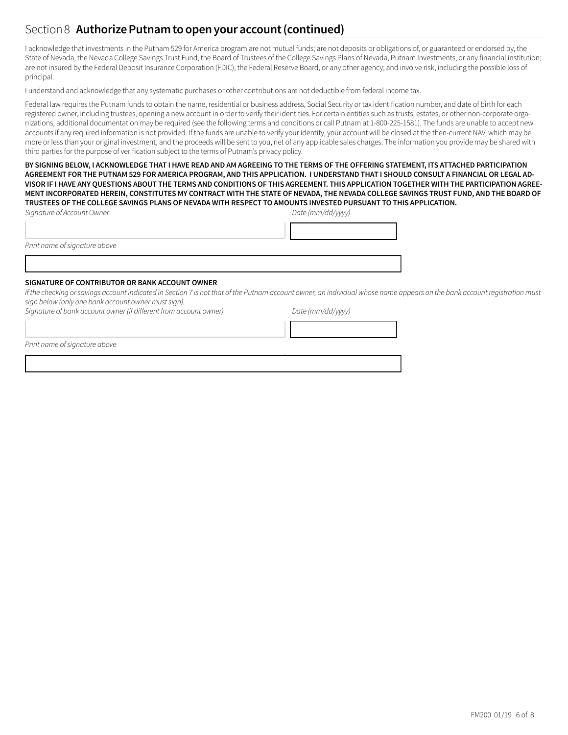### Section 8 **Authorize Putnam to open your account (continued)**

I acknowledge that investments in the Putnam 529 for America program are not mutual funds; are not deposits or obligations of, or guaranteed or endorsed by, the State of Nevada, the Nevada College Savings Trust Fund, the Board of Trustees of the College Savings Plans of Nevada, Putnam Investments, or any financial institution; are not insured by the Federal Deposit Insurance Corporation (FDIC), the Federal Reserve Board, or any other agency; and involve risk, including the possible loss of principal.

I understand and acknowledge that any systematic purchases or other contributions are not deductible from federal income tax.

Federal law requires the Putnam funds to obtain the name, residential or business address, Social Security or tax identification number, and date of birth for each registered owner, including trustees, opening a new account in order to verify their identities. For certain entities such as trusts, estates, or other non-corporate organizations, additional documentation may be required (see the following terms and conditions or call Putnam at 1-800-225-1581). The funds are unable to accept new accounts if any required information is not provided. If the funds are unable to verify your identity, your account will be closed at the then-current NAV, which may be more or less than your original investment, and the proceeds will be sent to you, net of any applicable sales charges. The information you provide may be shared with third parties for the purpose of verification subject to the terms of Putnam's privacy policy.

BY SIGNING BELOW, I ACKNOWLEDGE THAT I HAVE READ AND AM AGREEING TO THE TERMS OF THE OFFERING STATEMENT, ITS ATTACHED PARTICIPATION AGREEMENT FOR THE PUTNAM 529 FOR AMERICA PROGRAM, AND THIS APPLICATION. I UNDERSTAND THAT I SHOULD CONSULT A FINANCIAL OR LEGAL AD-VISOR IF I HAVE ANY OUESTIONS ABOUT THE TERMS AND CONDITIONS OF THIS AGREEMENT. THIS APPLICATION TOGETHER WITH THE PARTICIPATION AGREE-MENT INCORPORATED HEREIN, CONSTITUTES MY CONTRACT WITH THE STATE OF NEVADA, THE NEVADA COLLEGE SAVINGS TRUST FUND, AND THE BOARD OF TRUSTEES OF THE COLLEGE SAVINGS PLANS OF NEVADA WITH RESPECT TO AMOUNTS INVESTED PURSUANT TO THIS APPLICATION.

| Signature of Account Owner | Date (mm/dd/yyyy) |
|----------------------------|-------------------|
|                            |                   |

*Print name ofsignature above*

#### **SIGNATURE OF CONTRIBUTOR OR BANK ACCOUNT OWNER**

1333333333333333333334

1333333333333333333334

If the checking or savings account indicated in Section 7 is not that of the Putnam account owner, an individual whose name appears on the bank account registration must *sign below(only one bank account owner mustsign).*

*Signature of bank account owner (if different from account owner) Date (mm/dd/yyyy)*

1333333333333333333334 133333334 *Print name ofsignature above*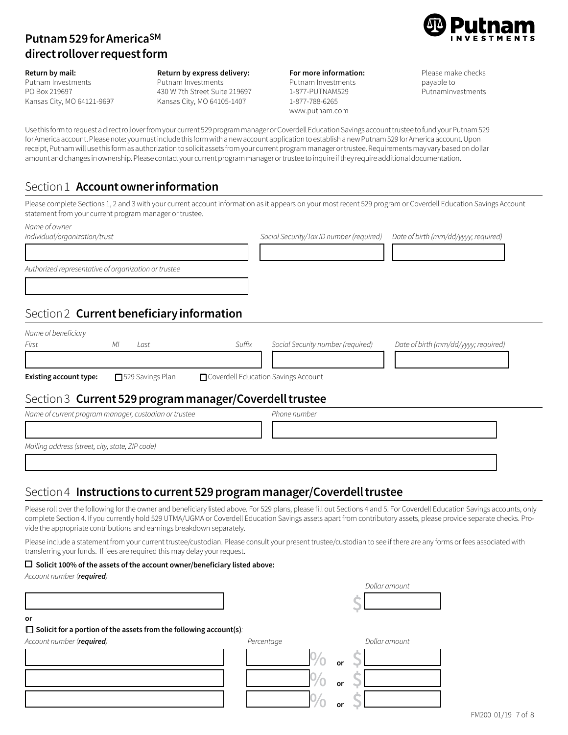# **Putnam529forAmericaSM directrolloverrequestform**



**Return by mail:** Putnam Investments PO Box 219697 Kansas City, MO 64121-9697 **Return by express delivery:** Putnam Investments 430 W 7th Street Suite 219697 Kansas City, MO 64105-1407

| For more information: |
|-----------------------|
| Putnam Investments    |
| 1-877-PUTNAM529       |
| 1-877-788-6265        |
| www.putnam.com        |

Please make checks payable to PutnamInvestments

Use this form to request a direct rollover from your current 529 program manager or Coverdell Education Savings account trustee to fund your Putnam 529 for America account. Please note: you must include this form with a new account application to establish a new Putnam 529 for America account. Upon receipt, Putnam will use this form as authorization to solicit assets from your current program manager or trustee. Requirements may vary based on dollar amount and changes in ownership. Please contact your current program manager or trustee to inquire if they require additional documentation.

# **Section 1 Account owner information**

Please complete Sections 1, 2 and 3 with your current account information as it appears on your most recent 529 program or Coverdell Education Savings Account statement from your current program manager or trustee.

| Name of owner<br>Individual/organization/trust       |                                                         |                                       | Social Security/Tax ID number (required) | Date of birth (mm/dd/yyyy; required) |
|------------------------------------------------------|---------------------------------------------------------|---------------------------------------|------------------------------------------|--------------------------------------|
| Authorized representative of organization or trustee |                                                         |                                       |                                          |                                      |
|                                                      | Section 2 Current beneficiary information               |                                       |                                          |                                      |
| Name of beneficiary                                  |                                                         |                                       |                                          |                                      |
| First                                                | MI<br>Last                                              | Suffix                                | Social Security number (required)        | Date of birth (mm/dd/yyyy; required) |
| Existing account type:                               | □ 529 Savings Plan                                      | □ Coverdell Education Savings Account |                                          |                                      |
|                                                      | Section 3 Current 529 program manager/Coverdell trustee |                                       |                                          |                                      |
|                                                      | Name of current program manager, custodian or trustee   |                                       | Phone number                             |                                      |
|                                                      |                                                         |                                       |                                          |                                      |
| Mailing address (street, city, state, ZIP code)      |                                                         |                                       |                                          |                                      |

### Section 4 **Instructions tocurrent529programmanager/Coverdelltrustee**

Please roll over the following for the owner and beneficiary listed above. For 529 plans, please fill out Sections 4 and 5. For Coverdell Education Savings accounts, only complete Section 4. If you currently hold 529 UTMA/UGMA or Coverdell Education Savings assets apart from contributory assets, please provide separate checks. Provide the appropriate contributions and earnings breakdown separately.

Please include a statement from your current trustee/custodian. Please consult your present trustee/custodian to see if there are any forms or fees associated with transferring your funds. If fees are required this may delay your request.

133333333333333333333333333333333333334

### o **Solicit 100% of the assets of the account owner/beneficiary listed above:**

Account number (**required**)

|                                                                           |            |    | Dollar amount |
|---------------------------------------------------------------------------|------------|----|---------------|
|                                                                           |            |    |               |
| or                                                                        |            |    |               |
| $\Box$ Solicit for a portion of the assets from the following account(s): |            |    |               |
| Account number (required)                                                 | Percentage |    | Dollar amount |
|                                                                           |            | or |               |
|                                                                           |            | or |               |
|                                                                           |            | or |               |